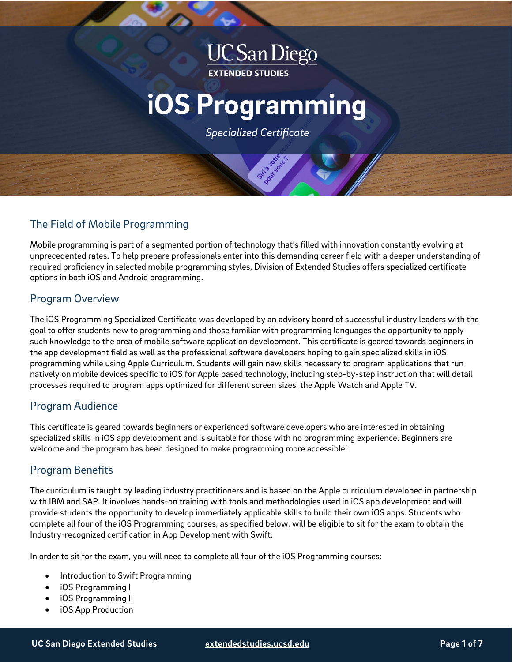## **UC San Diego EXTENDED STUDIES**

# **iOS Programming**

**Specialized Certificate** 

## The Field of Mobile Programming

Mobile programming is part of a segmented portion of technology that's filled with innovation constantly evolving at unprecedented rates. To help prepare professionals enter into this demanding career field with a deeper understanding of required proficiency in selected mobile programming styles, Division of Extended Studies offers specialized certificate options in both iOS and Android programming.

## Program Overview

The iOS Programming Specialized Certificate was developed by an advisory board of successful industry leaders with the goal to offer students new to programming and those familiar with programming languages the opportunity to apply such knowledge to the area of mobile software application development. This certificate is geared towards beginners in the app development field as well as the professional software developers hoping to gain specialized skills in iOS programming while using Apple Curriculum. Students will gain new skills necessary to program applications that run natively on mobile devices specific to iOS for Apple based technology, including step-by-step instruction that will detail processes required to program apps optimized for different screen sizes, the Apple Watch and Apple TV.

## Program Audience

This certificate is geared towards beginners or experienced software developers who are interested in obtaining specialized skills in iOS app development and is suitable for those with no programming experience. Beginners are welcome and the program has been designed to make programming more accessible!

## Program Benefits

The curriculum is taught by leading industry practitioners and is based on the Apple curriculum developed in partnership with IBM and SAP. It involves hands-on training with tools and methodologies used in iOS app development and will provide students the opportunity to develop immediately applicable skills to build their own iOS apps. Students who complete all four of the iOS Programming courses, as specified below, will be eligible to sit for the exam to obtain the Industry-recognized certification in App Development with Swift.

In order to sit for the exam, you will need to complete all four of the iOS Programming courses:

- Introduction to Swift Programming
- iOS Programming I
- iOS Programming II
- iOS App Production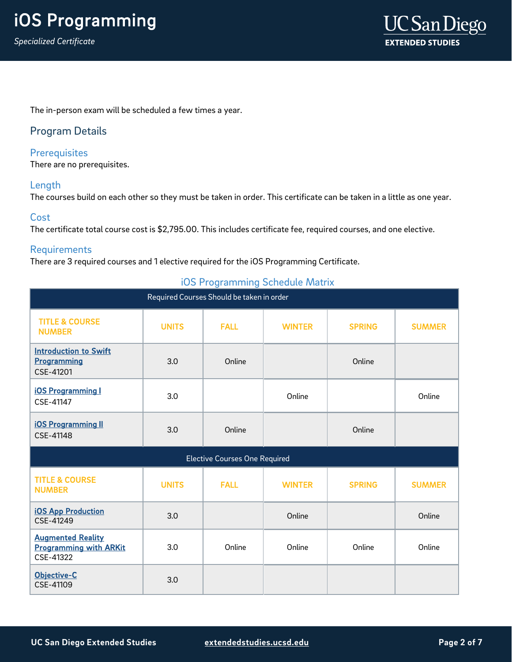The in-person exam will be scheduled a few times a year.

## Program Details

## **Prerequisites**

There are no prerequisites.

## Length

The courses build on each other so they must be taken in order. This certificate can be taken in a little as one year.

## **Cost**

The certificate total course cost is \$2,795.00. This includes certificate fee, required courses, and one elective.

## Requirements

There are 3 required courses and 1 elective required for the iOS Programming Certificate.

| $\tilde{\phantom{a}}$<br>Required Courses Should be taken in order     |              |             |               |               |               |
|------------------------------------------------------------------------|--------------|-------------|---------------|---------------|---------------|
| <b>TITLE &amp; COURSE</b><br><b>NUMBER</b>                             | <b>UNITS</b> | <b>FALL</b> | <b>WINTER</b> | <b>SPRING</b> | <b>SUMMER</b> |
| <b>Introduction to Swift</b><br>Programming<br>CSE-41201               | 3.0          | Online      |               | Online        |               |
| <b>iOS Programming I</b><br>CSE-41147                                  | 3.0          |             | Online        |               | Online        |
| <b>iOS Programming II</b><br>CSE-41148                                 | 3.0          | Online      |               | Online        |               |
| <b>Elective Courses One Required</b>                                   |              |             |               |               |               |
| <b>TITLE &amp; COURSE</b><br><b>NUMBER</b>                             | <b>UNITS</b> | <b>FALL</b> | <b>WINTER</b> | <b>SPRING</b> | <b>SUMMER</b> |
| <b>iOS App Production</b><br>CSE-41249                                 | 3.0          |             | Online        |               | Online        |
| <b>Augmented Reality</b><br><b>Programming with ARKit</b><br>CSE-41322 | 3.0          | Online      | Online        | Online        | Online        |
| Objective-C<br>CSE-41109                                               | 3.0          |             |               |               |               |

## iOS Programming Schedule Matrix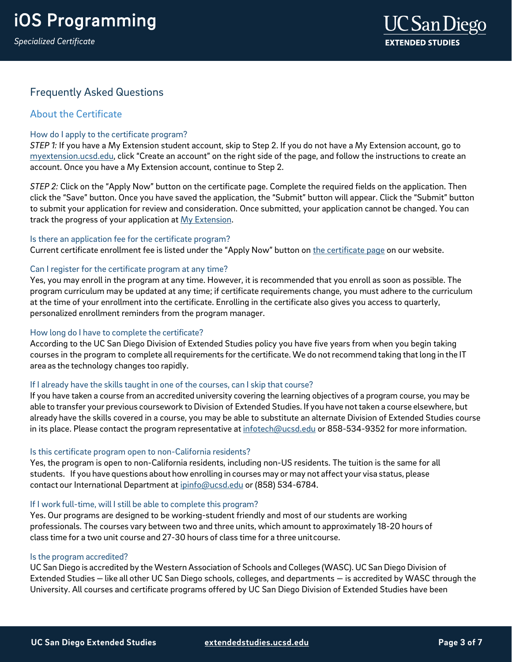*Specialized Certificate*



## Frequently Asked Questions

## About the Certificate

## How do I apply to the certificate program?

*STEP 1:* If you have a My Extension student account, skip to Step 2. If you do not have a My Extension account, go to [myextension.ucsd.edu,](mailto:https://extendedstudies.ucsd.edu/student-resources/financial-resources?utm_source=faqs&%3Bamp%3Butm_medium=pdf&%3Bamp%3Butm_campaign=bst-front-end-web-development) click "Create an account" on the right side of the page, and follow the instructions to create an account. Once you have a My Extension account, continue to Step 2.

*STEP 2:* Click on the "Apply Now" button on the certificate page. Complete the required fields on the application. Then click the "Save" button. Once you have saved the application, the "Submit" button will appear. Click the "Submit" button to submit your application for review and consideration. Once submitted, your application cannot be changed. You can track the progress of your application at [My Extension.](https://myextension.ucsd.edu/?utm_source=faqs&%3Butm_medium=pdf&%3Butm_campaign=bst-android-programming)

## Is there an application fee for the certificate program?

Current certificate enrollment fee is listed under the "Apply Now" button on [the certificate page](https://extendedstudies.ucsd.edu/courses-and-programs/mobile-applications?utm_source=faqs&%3Butm_medium=pdf&%3Butm_campaign=bst-android-programming) on our website.

## Can I register for the certificate program at any time?

Yes, you may enroll in the program at any time. However, it is recommended that you enroll as soon as possible. The program curriculum may be updated at any time; if certificate requirements change, you must adhere to the curriculum at the time of your enrollment into the certificate. Enrolling in the certificate also gives you access to quarterly, personalized enrollment reminders from the program manager.

## How long do I have to complete the certificate?

According to the UC San Diego Division of Extended Studies policy you have five years from when you begin taking courses in the program to complete all requirements for the certificate. We do not recommend taking that long in the IT area as the technology changes too rapidly.

## If I already have the skills taught in one of the courses, can I skip that course?

If you have taken a course from an accredited university covering the learning objectives of a program course, you may be able to transfer your previous coursework to Division of Extended Studies. If you have not taken a course elsewhere, but already have the skills covered in a course, you may be able to substitute an alternate Division of Extended Studies course in its place. Please contact the program representative at [infotech@ucsd.edu](mailto:infotech@ucsd.edu) or 858-534-9352 for more information.

## Is this certificate program open to non-California residents?

Yes, the program is open to non-California residents, including non-US residents. The tuition is the same for all students. If you have questions about how enrolling in courses may or may not affect your visa status, please contact our International Department at [ipinfo@ucsd.edu](mailto:ipinfo@ucsd.edu) or (858) 534-6784.

## If I work full-time, will I still be able to complete this program?

Yes. Our programs are designed to be working-student friendly and most of our students are working professionals. The courses vary between two and three units, which amount to approximately 18-20 hours of class time for a two unit course and 27-30 hours of class time for a three unitcourse.

### Is the program accredited?

UC San Diego is accredited by the Western Association of Schools and Colleges (WASC). UC San Diego Division of Extended Studies — like all other UC San Diego schools, colleges, and departments — is accredited by WASC through the University. All courses and certificate programs offered by UC San Diego Division of Extended Studies have been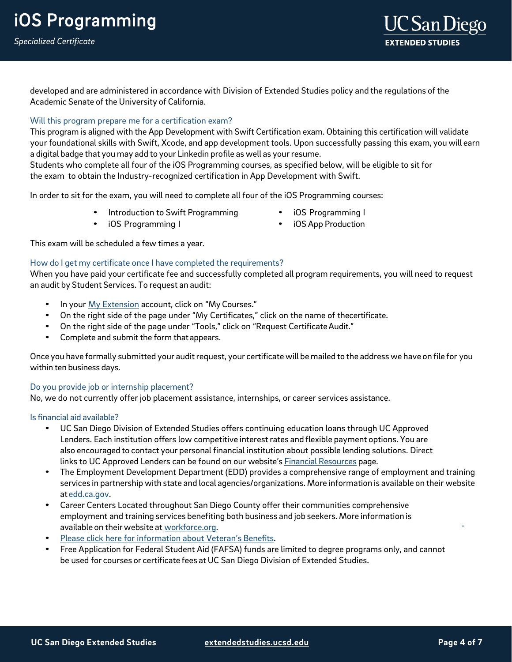*Specialized Certificate*



developed and are administered in accordance with Division of Extended Studies policy and the regulations of the Academic Senate of the University of California.

## Will this program prepare me for a certification exam?

This program is aligned with the App Development with Swift Certification exam. Obtaining this certification will validate your foundational skills with Swift, Xcode, and app development tools. Upon successfully passing this exam, you will earn a digital badge that you may add to your Linkedin profile as well as yourresume.

Students who complete all four of the iOS Programming courses, as specified below, will be eligible to sit for the exam to obtain the Industry-recognized certification in App Development with Swift.

In order to sit for the exam, you will need to complete all four of the iOS Programming courses:

- Introduction to Swift Programming iOS Programming I
- iOS Programming I iOS App Production
- -

This exam will be scheduled a few times a year.

## How do I get my certificate once I have completed the requirements?

When you have paid your certificate fee and successfully completed all program requirements, you will need to request an audit by Student Services. To request an audit:

- In your My [Extension](https://myextension.ucsd.edu/?utm_source=faqs&%3Butm_medium=pdf&%3Butm_campaign=bst-android-programming) account, click on "My Courses."
- On the right side of the page under "My Certificates," click on the name of thecertificate.
- On the right side of the page under "Tools," click on "Request Certificate Audit."
- Complete and submit the form thatappears.

Once you have formally submitted your audit request, your certificate will be mailed to the address we have on file for you within ten business days.

### Do you provide job or internship placement?

No, we do not currently offer job placement assistance, internships, or career services assistance.

### Is financial aid available?

- UC San Diego Division of Extended Studies offers continuing education loans through UC Approved Lenders. Each institution offers low competitive interest rates and flexible payment options. You are also encouraged to contact your personal financial institution about possible lending solutions. Direct links to UC Approved Lenders can be found on our website's Financial [Resources](https://extension.ucsd.edu/student-resources/financial-resources?utm_source=faqs&%3Butm_medium=pdf&%3Butm_campaign=bst-android-programming) page.
- The Employment Development Department (EDD) provides a comprehensive range of employment and training services in partnership with state and local agencies/organizations. More information is available on their website a[t edd.ca.gov.](http://edd.ca.gov/)
- Career Centers Located throughout San Diego County offer their communities comprehensive employment and training services benefiting both business and job seekers. More information is available on their website a[t workforce.org.](http://workforce.org/)
- Please click here for information [about Veteran's Benefits.](https://extension.ucsd.edu/student-resources/veterans-education-benefits?utm_source=faqs&%3Butm_medium=pdf&%3Butm_campaign=bst-android-programming)
- Free Application for Federal Student Aid (FAFSA) funds are limited to degree programs only, and cannot be used for courses or certificate fees at UC San Diego Division of Extended Studies.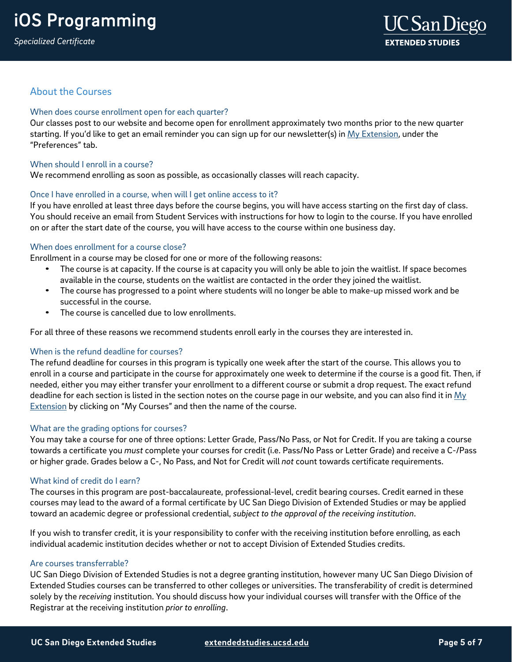## About the Courses

## When does course enrollment open for each quarter?

Our classes post to our website and become open for enrollment approximately two months prior to the new quarter starting. If you'd like to get an email reminder you can sign up for our newsletter(s) i[n My Extension,](https://myextension.ucsd.edu/?utm_source=faqs&%3Butm_medium=pdf&%3Butm_campaign=bst-android-programming) under the "Preferences" tab.

## When should I enroll in a course?

We recommend enrolling as soon as possible, as occasionally classes will reach capacity.

## Once I have enrolled in a course, when will I get online access to it?

If you have enrolled at least three days before the course begins, you will have access starting on the first day of class. You should receive an email from Student Services with instructions for how to login to the course. If you have enrolled on or after the start date of the course, you will have access to the course within one business day.

## When does enrollment for a course close?

Enrollment in a course may be closed for one or more of the following reasons:

- The course is at capacity. If the course is at capacity you will only be able to join the waitlist. If space becomes available in the course, students on the waitlist are contacted in the order they joined the waitlist.
- The course has progressed to a point where students will no longer be able to make-up missed work and be successful in the course.
- The course is cancelled due to low enrollments.

For all three of these reasons we recommend students enroll early in the courses they are interested in.

## When is the refund deadline for courses?

The refund deadline for courses in this program is typically one week after the start of the course. This allows you to enroll in a course and participate in the course for approximately one week to determine if the course is a good fit. Then, if needed, either you may either transfer your enrollment to a different course or submit a drop request. The exact refund deadline for each section is listed in the section notes on the course page in our website, and you can also find it in  $My$ **[Extension](https://myextension.ucsd.edu/?utm_source=faqs&%3Butm_medium=pdf&%3Butm_campaign=bst-android-programming) by clicking on "My Courses" and then the name of the course.** 

## What are the grading options for courses?

You may take a course for one of three options: Letter Grade, Pass/No Pass, or Not for Credit. If you are taking a course towards a certificate you *must* complete your courses for credit (i.e. Pass/No Pass or Letter Grade) and receive a C-/Pass or higher grade. Grades below a C-, No Pass, and Not for Credit will *not* count towards certificate requirements.

## What kind of credit do I earn?

The courses in this program are post-baccalaureate, professional-level, credit bearing courses. Credit earned in these courses may lead to the award of a formal certificate by UC San Diego Division of Extended Studies or may be applied toward an academic degree or professional credential, *subject to the approval of the receiving institution*.

If you wish to transfer credit, it is your responsibility to confer with the receiving institution before enrolling, as each individual academic institution decides whether or not to accept Division of Extended Studies credits.

## Are courses transferrable?

UC San Diego Division of Extended Studies is not a degree granting institution, however many UC San Diego Division of Extended Studies courses can be transferred to other colleges or universities. The transferability of credit is determined solely by the *receiving* institution. You should discuss how your individual courses will transfer with the Office of the Registrar at the receiving institution *prior to enrolling*.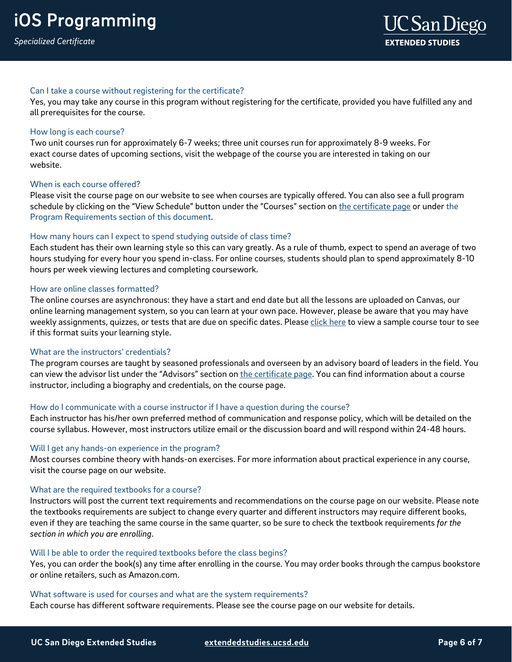## Can I take a course without registering for the certificate?

Yes, you may take any course in this program without registering for the certificate, provided you have fulfilled any and all prerequisites for the course.

### How long is each course?

Two unit courses run for approximately 6-7 weeks; three unit courses run for approximately 8-9 weeks. For exact course dates of upcoming sections, visit the webpage of the course you are interested in taking on our website.

## When is each course offered?

Please visit the course page on our website to see when courses are typically offered. You can also see a full program schedule by clicking on the "View Schedule" button under the "Courses" section o[n the certificate page](https://extendedstudies.ucsd.edu/courses-and-programs/mobile-applications?utm_source=faqs&%3Butm_medium=pdf&%3Butm_campaign=bst-android-programming) or under the Program Requirements section of this document.

## How many hours can I expect to spend studying outside of class time?

Each student has their own learning style so this can vary greatly. As a rule of thumb, expect to spend an average of two hours studying for every hour you spend in-class. For online courses, students should plan to spend approximately 8-10 hours per week viewing lectures and completing coursework.

### How are online classes formatted?

The online courses are asynchronous: they have a start and end date but all the lessons are uploaded on Canvas, our online learning management system, so you can learn at your own pace. However, please be aware that you may have weekly assignments, quizzes, or tests that are due on specific dates. Pleas[e click here](https://onlinex.ucsd.edu/onlinelearning/students/course_tour.swf) to view a sample course tour to see if this format suits your learning style.

### What are the instructors' credentials?

The program courses are taught by seasoned professionals and overseen by an advisory board of leaders in the field. You can view the advisor list under the "Advisors" section o[n the certificate page.](https://extendedstudies.ucsd.edu/courses-and-programs/mobile-applications?utm_source=faqs&%3Butm_medium=pdf&%3Butm_campaign=bst-android-programming) You can find information about a course instructor, including a biography and credentials, on the course page.

### How do I communicate with a course instructor if I have a question during the course?

Each instructor has his/her own preferred method of communication and response policy, which will be detailed on the course syllabus. However, most instructors utilize email or the discussion board and will respond within 24-48 hours.

### Will I get any hands-on experience in the program?

Most courses combine theory with hands-on exercises. For more information about practical experience in any course, visit the course page on our website.

### What are the required textbooks for a course?

Instructors will post the current text requirements and recommendations on the course page on our website. Please note the textbooks requirements are subject to change every quarter and different instructors may require different books, even if they are teaching the same course in the same quarter, so be sure to check the textbook requirements *for the section in which you are enrolling*.

### Will I be able to order the required textbooks before the class begins?

Yes, you can order the book(s) any time after enrolling in the course. You may order books through the campus bookstore or online retailers, such as Amazon.com.

What software is used for courses and what are the system requirements? Each course has different software requirements. Please see the course page on our website for details.